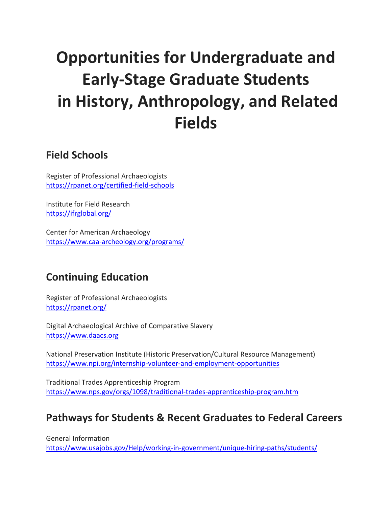# **Opportunities for Undergraduate and Early-Stage Graduate Students in History, Anthropology, and Related Fields**

#### **Field Schools**

Register of Professional Archaeologists <https://rpanet.org/certified-field-schools>

Institute for Field Research <https://ifrglobal.org/>

Center for American Archaeology <https://www.caa-archeology.org/programs/>

# **Continuing Education**

Register of Professional Archaeologists <https://rpanet.org/>

Digital Archaeological Archive of Comparative Slavery [https://www.daacs.org](https://www.daacs.org/)

National Preservation Institute (Historic Preservation/Cultural Resource Management) <https://www.npi.org/internship-volunteer-and-employment-opportunities>

Traditional Trades Apprenticeship Program <https://www.nps.gov/orgs/1098/traditional-trades-apprenticeship-program.htm>

#### **Pathways for Students & Recent Graduates to Federal Careers**

General Information <https://www.usajobs.gov/Help/working-in-government/unique-hiring-paths/students/>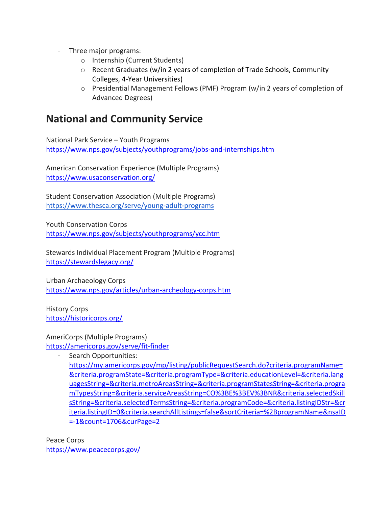- Three major programs:
	- o Internship (Current Students)
	- $\circ$  Recent Graduates (w/in 2 years of completion of Trade Schools, Community Colleges, 4-Year Universities)
	- o Presidential Management Fellows (PMF) Program (w/in 2 years of completion of Advanced Degrees)

#### **National and Community Service**

National Park Service – Youth Programs <https://www.nps.gov/subjects/youthprograms/jobs-and-internships.htm>

American Conservation Experience (Multiple Programs) <https://www.usaconservation.org/>

Student Conservation Association (Multiple Programs) <https://www.thesca.org/serve/young-adult-programs>

Youth Conservation Corps <https://www.nps.gov/subjects/youthprograms/ycc.htm>

Stewards Individual Placement Program (Multiple Programs) <https://stewardslegacy.org/>

Urban Archaeology Corps <https://www.nps.gov/articles/urban-archeology-corps.htm>

History Corps <https://historicorps.org/>

AmeriCorps (Multiple Programs) <https://americorps.gov/serve/fit-finder>

- Search Opportunities: [https://my.americorps.gov/mp/listing/publicRequestSearch.do?criteria.programName=](https://my.americorps.gov/mp/listing/publicRequestSearch.do?criteria.programName=&criteria.programState=&criteria.programType=&criteria.educationLevel=&criteria.languagesString=&criteria.metroAreasString=&criteria.programStatesString=&criteria.programTypesString=&criteria.serviceAreasString=CO%3BE%3BEV%3BNR&criteria.selectedSkillsString=&criteria.selectedTermsString=&criteria.programCode=&criteria.listingIDStr=&criteria.listingID=0&criteria.searchAllListings=false&sortCriteria=%2BprogramName&nsaID=-1&count=1706&curPage=2) [&criteria.programState=&criteria.programType=&criteria.educationLevel=&criteria.lang](https://my.americorps.gov/mp/listing/publicRequestSearch.do?criteria.programName=&criteria.programState=&criteria.programType=&criteria.educationLevel=&criteria.languagesString=&criteria.metroAreasString=&criteria.programStatesString=&criteria.programTypesString=&criteria.serviceAreasString=CO%3BE%3BEV%3BNR&criteria.selectedSkillsString=&criteria.selectedTermsString=&criteria.programCode=&criteria.listingIDStr=&criteria.listingID=0&criteria.searchAllListings=false&sortCriteria=%2BprogramName&nsaID=-1&count=1706&curPage=2) [uagesString=&criteria.metroAreasString=&criteria.programStatesString=&criteria.progra](https://my.americorps.gov/mp/listing/publicRequestSearch.do?criteria.programName=&criteria.programState=&criteria.programType=&criteria.educationLevel=&criteria.languagesString=&criteria.metroAreasString=&criteria.programStatesString=&criteria.programTypesString=&criteria.serviceAreasString=CO%3BE%3BEV%3BNR&criteria.selectedSkillsString=&criteria.selectedTermsString=&criteria.programCode=&criteria.listingIDStr=&criteria.listingID=0&criteria.searchAllListings=false&sortCriteria=%2BprogramName&nsaID=-1&count=1706&curPage=2) [mTypesString=&criteria.serviceAreasString=CO%3BE%3BEV%3BNR&criteria.selectedSkill](https://my.americorps.gov/mp/listing/publicRequestSearch.do?criteria.programName=&criteria.programState=&criteria.programType=&criteria.educationLevel=&criteria.languagesString=&criteria.metroAreasString=&criteria.programStatesString=&criteria.programTypesString=&criteria.serviceAreasString=CO%3BE%3BEV%3BNR&criteria.selectedSkillsString=&criteria.selectedTermsString=&criteria.programCode=&criteria.listingIDStr=&criteria.listingID=0&criteria.searchAllListings=false&sortCriteria=%2BprogramName&nsaID=-1&count=1706&curPage=2) [sString=&criteria.selectedTermsString=&criteria.programCode=&criteria.listingIDStr=&cr](https://my.americorps.gov/mp/listing/publicRequestSearch.do?criteria.programName=&criteria.programState=&criteria.programType=&criteria.educationLevel=&criteria.languagesString=&criteria.metroAreasString=&criteria.programStatesString=&criteria.programTypesString=&criteria.serviceAreasString=CO%3BE%3BEV%3BNR&criteria.selectedSkillsString=&criteria.selectedTermsString=&criteria.programCode=&criteria.listingIDStr=&criteria.listingID=0&criteria.searchAllListings=false&sortCriteria=%2BprogramName&nsaID=-1&count=1706&curPage=2) [iteria.listingID=0&criteria.searchAllListings=false&sortCriteria=%2BprogramName&nsaID](https://my.americorps.gov/mp/listing/publicRequestSearch.do?criteria.programName=&criteria.programState=&criteria.programType=&criteria.educationLevel=&criteria.languagesString=&criteria.metroAreasString=&criteria.programStatesString=&criteria.programTypesString=&criteria.serviceAreasString=CO%3BE%3BEV%3BNR&criteria.selectedSkillsString=&criteria.selectedTermsString=&criteria.programCode=&criteria.listingIDStr=&criteria.listingID=0&criteria.searchAllListings=false&sortCriteria=%2BprogramName&nsaID=-1&count=1706&curPage=2) [=-1&count=1706&curPage=2](https://my.americorps.gov/mp/listing/publicRequestSearch.do?criteria.programName=&criteria.programState=&criteria.programType=&criteria.educationLevel=&criteria.languagesString=&criteria.metroAreasString=&criteria.programStatesString=&criteria.programTypesString=&criteria.serviceAreasString=CO%3BE%3BEV%3BNR&criteria.selectedSkillsString=&criteria.selectedTermsString=&criteria.programCode=&criteria.listingIDStr=&criteria.listingID=0&criteria.searchAllListings=false&sortCriteria=%2BprogramName&nsaID=-1&count=1706&curPage=2)

Peace Corps <https://www.peacecorps.gov/>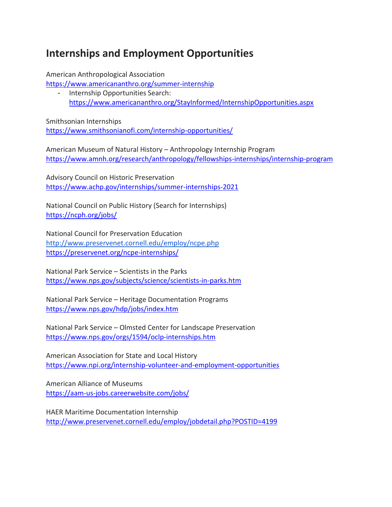## **Internships and Employment Opportunities**

American Anthropological Association

<https://www.americananthro.org/summer-internship>

- Internship Opportunities Search: <https://www.americananthro.org/StayInformed/InternshipOpportunities.aspx>

Smithsonian Internships <https://www.smithsonianofi.com/internship-opportunities/>

American Museum of Natural History – Anthropology Internship Program <https://www.amnh.org/research/anthropology/fellowships-internships/internship-program>

Advisory Council on Historic Preservation <https://www.achp.gov/internships/summer-internships-2021>

National Council on Public History (Search for Internships) <https://ncph.org/jobs/>

National Council for Preservation Education <http://www.preservenet.cornell.edu/employ/ncpe.php> <https://preservenet.org/ncpe-internships/>

National Park Service – Scientists in the Parks <https://www.nps.gov/subjects/science/scientists-in-parks.htm>

National Park Service – Heritage Documentation Programs <https://www.nps.gov/hdp/jobs/index.htm>

National Park Service – Olmsted Center for Landscape Preservation <https://www.nps.gov/orgs/1594/oclp-internships.htm>

American Association for State and Local History <https://www.npi.org/internship-volunteer-and-employment-opportunities>

American Alliance of Museums <https://aam-us-jobs.careerwebsite.com/jobs/>

HAER Maritime Documentation Internship <http://www.preservenet.cornell.edu/employ/jobdetail.php?POSTID=4199>